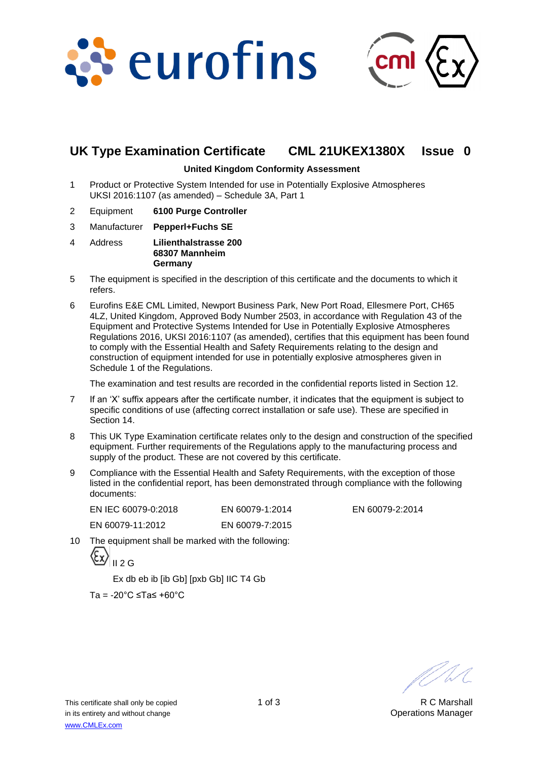



# **UK Type Examination Certificate CML 21UKEX1380X Issue 0**

### **United Kingdom Conformity Assessment**

- 1 Product or Protective System Intended for use in Potentially Explosive Atmospheres UKSI 2016:1107 (as amended) – Schedule 3A, Part 1
- 2 Equipment **6100 Purge Controller**
- 3 Manufacturer **Pepperl+Fuchs SE**
- 4 Address **Lilienthalstrasse 200 68307 Mannheim Germany**
- 5 The equipment is specified in the description of this certificate and the documents to which it refers.
- 6 Eurofins E&E CML Limited, Newport Business Park, New Port Road, Ellesmere Port, CH65 4LZ, United Kingdom, Approved Body Number 2503, in accordance with Regulation 43 of the Equipment and Protective Systems Intended for Use in Potentially Explosive Atmospheres Regulations 2016, UKSI 2016:1107 (as amended), certifies that this equipment has been found to comply with the Essential Health and Safety Requirements relating to the design and construction of equipment intended for use in potentially explosive atmospheres given in Schedule 1 of the Regulations.

The examination and test results are recorded in the confidential reports listed in Section 12.

- 7 If an 'X' suffix appears after the certificate number, it indicates that the equipment is subject to specific conditions of use (affecting correct installation or safe use). These are specified in Section 14.
- 8 This UK Type Examination certificate relates only to the design and construction of the specified equipment. Further requirements of the Regulations apply to the manufacturing process and supply of the product. These are not covered by this certificate.
- 9 Compliance with the Essential Health and Safety Requirements, with the exception of those listed in the confidential report, has been demonstrated through compliance with the following documents:

| EN IEC 60079-0:2018 | EN 60079-1:2014 |
|---------------------|-----------------|
| EN 60079-11:2012    | EN 60079-7:2015 |

EN 60079-2:2014

10 The equipment shall be marked with the following:

$$
\langle \underline{\mathcal{E}} \underline{x} \rangle_{\text{II } 2 \text{ G}}
$$

Ex db eb ib [ib Gb] [pxb Gb] IIC T4 Gb

Ta = -20°C ≤Ta≤ +60°C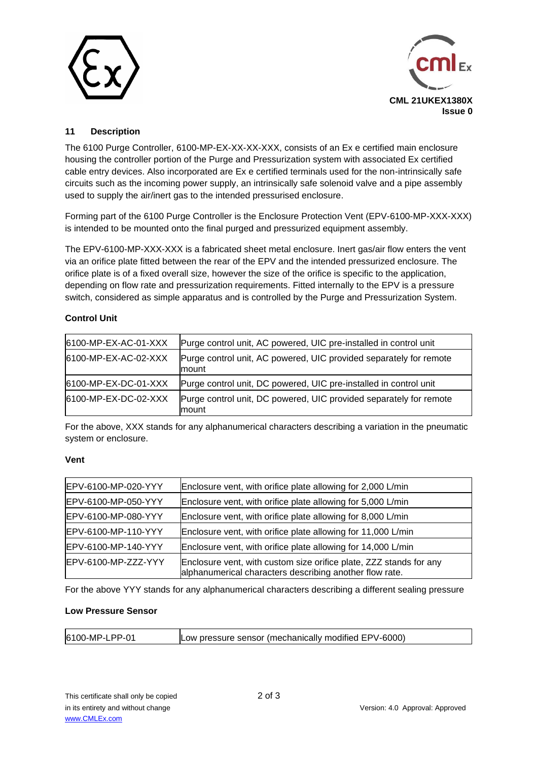



## **11 Description**

The 6100 Purge Controller, 6100-MP-EX-XX-XX-XXX, consists of an Ex e certified main enclosure housing the controller portion of the Purge and Pressurization system with associated Ex certified cable entry devices. Also incorporated are Ex e certified terminals used for the non-intrinsically safe circuits such as the incoming power supply, an intrinsically safe solenoid valve and a pipe assembly used to supply the air/inert gas to the intended pressurised enclosure.

Forming part of the 6100 Purge Controller is the Enclosure Protection Vent (EPV-6100-MP-XXX-XXX) is intended to be mounted onto the final purged and pressurized equipment assembly.

The EPV-6100-MP-XXX-XXX is a fabricated sheet metal enclosure. Inert gas/air flow enters the vent via an orifice plate fitted between the rear of the EPV and the intended pressurized enclosure. The orifice plate is of a fixed overall size, however the size of the orifice is specific to the application, depending on flow rate and pressurization requirements. Fitted internally to the EPV is a pressure switch, considered as simple apparatus and is controlled by the Purge and Pressurization System.

## **Control Unit**

| 6100-MP-EX-AC-01-XXX | Purge control unit, AC powered, UIC pre-installed in control unit           |
|----------------------|-----------------------------------------------------------------------------|
| 6100-MP-EX-AC-02-XXX | Purge control unit, AC powered, UIC provided separately for remote<br>mount |
| 6100-MP-EX-DC-01-XXX | Purge control unit, DC powered, UIC pre-installed in control unit           |
| 6100-MP-EX-DC-02-XXX | Purge control unit, DC powered, UIC provided separately for remote<br>mount |

For the above, XXX stands for any alphanumerical characters describing a variation in the pneumatic system or enclosure.

## **Vent**

| EPV-6100-MP-020-YYY | Enclosure vent, with orifice plate allowing for 2,000 L/min                                                                   |
|---------------------|-------------------------------------------------------------------------------------------------------------------------------|
| EPV-6100-MP-050-YYY | Enclosure vent, with orifice plate allowing for 5,000 L/min                                                                   |
| EPV-6100-MP-080-YYY | Enclosure vent, with orifice plate allowing for 8,000 L/min                                                                   |
| EPV-6100-MP-110-YYY | Enclosure vent, with orifice plate allowing for 11,000 L/min                                                                  |
| EPV-6100-MP-140-YYY | Enclosure vent, with orifice plate allowing for 14,000 L/min                                                                  |
| EPV-6100-MP-ZZZ-YYY | Enclosure vent, with custom size orifice plate, ZZZ stands for any<br>alphanumerical characters describing another flow rate. |

For the above YYY stands for any alphanumerical characters describing a different sealing pressure

## **Low Pressure Sensor**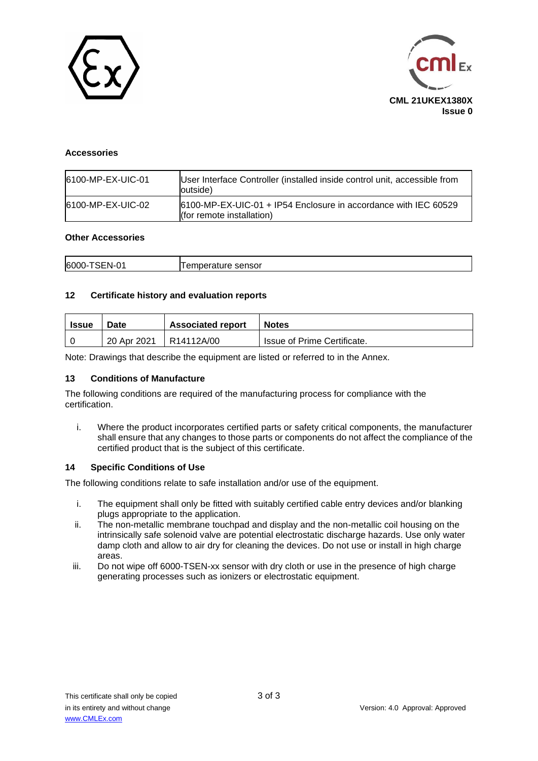



#### **Accessories**

| 6100-MP-EX-UIC-01 | User Interface Controller (installed inside control unit, accessible from<br>loutside)           |
|-------------------|--------------------------------------------------------------------------------------------------|
| 6100-MP-EX-UIC-02 | 6100-MP-EX-UIC-01 + IP54 Enclosure in accordance with IEC 60529<br>$ $ (for remote installation) |

#### **Other Accessories**

| 6000-<br>$\sim$<br>$\sim$<br>∵-N-∟<br>sensor<br>$\mathbf{H}$ |
|--------------------------------------------------------------|
|--------------------------------------------------------------|

#### **12 Certificate history and evaluation reports**

| <b>Issue</b> | <b>Date</b> | <b>Associated report</b> | <b>Notes</b>                |  |
|--------------|-------------|--------------------------|-----------------------------|--|
|              | 20 Apr 2021 | R14112A/00               | Issue of Prime Certificate. |  |

Note: Drawings that describe the equipment are listed or referred to in the Annex.

#### **13 Conditions of Manufacture**

The following conditions are required of the manufacturing process for compliance with the certification.

i. Where the product incorporates certified parts or safety critical components, the manufacturer shall ensure that any changes to those parts or components do not affect the compliance of the certified product that is the subject of this certificate.

#### **14 Specific Conditions of Use**

The following conditions relate to safe installation and/or use of the equipment.

- i. The equipment shall only be fitted with suitably certified cable entry devices and/or blanking plugs appropriate to the application.
- ii. The non-metallic membrane touchpad and display and the non-metallic coil housing on the intrinsically safe solenoid valve are potential electrostatic discharge hazards. Use only water damp cloth and allow to air dry for cleaning the devices. Do not use or install in high charge areas.
- iii. Do not wipe off 6000-TSEN-xx sensor with dry cloth or use in the presence of high charge generating processes such as ionizers or electrostatic equipment.